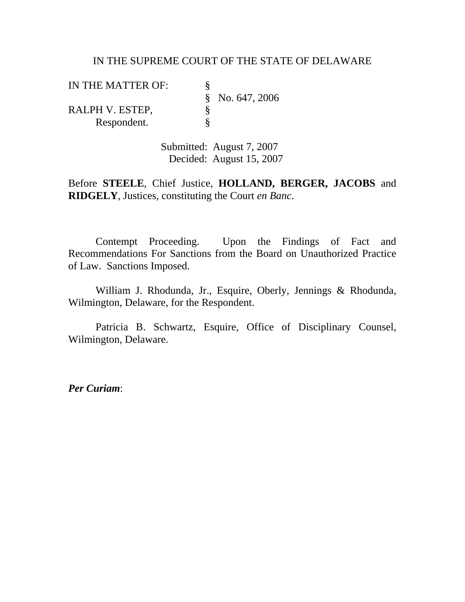#### IN THE SUPREME COURT OF THE STATE OF DELAWARE

IN THE MATTER OF:<br>
§<br>
RALPH V. ESTEP,<br>
§ § No. 647, 2006 RALPH V. ESTEP,<br>Respondent.  $\S$ Respondent.

> Submitted: August 7, 2007 Decided: August 15, 2007

Before **STEELE**, Chief Justice, **HOLLAND, BERGER, JACOBS** and **RIDGELY**, Justices, constituting the Court *en Banc*.

Contempt Proceeding. Upon the Findings of Fact and Recommendations For Sanctions from the Board on Unauthorized Practice of Law. Sanctions Imposed.

 William J. Rhodunda, Jr., Esquire, Oberly, Jennings & Rhodunda, Wilmington, Delaware, for the Respondent.

 Patricia B. Schwartz, Esquire, Office of Disciplinary Counsel, Wilmington, Delaware.

*Per Curiam*: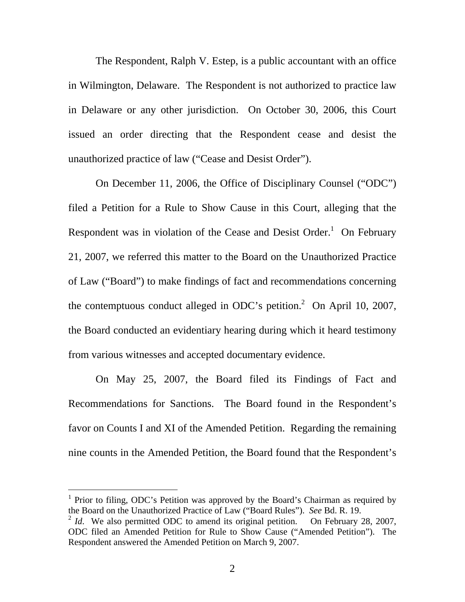The Respondent, Ralph V. Estep, is a public accountant with an office in Wilmington, Delaware. The Respondent is not authorized to practice law in Delaware or any other jurisdiction. On October 30, 2006, this Court issued an order directing that the Respondent cease and desist the unauthorized practice of law ("Cease and Desist Order").

 On December 11, 2006, the Office of Disciplinary Counsel ("ODC") filed a Petition for a Rule to Show Cause in this Court, alleging that the Respondent was in violation of the Cease and Desist Order.<sup>1</sup> On February 21, 2007, we referred this matter to the Board on the Unauthorized Practice of Law ("Board") to make findings of fact and recommendations concerning the contemptuous conduct alleged in ODC's petition.<sup>2</sup> On April 10, 2007, the Board conducted an evidentiary hearing during which it heard testimony from various witnesses and accepted documentary evidence.

 On May 25, 2007, the Board filed its Findings of Fact and Recommendations for Sanctions. The Board found in the Respondent's favor on Counts I and XI of the Amended Petition. Regarding the remaining nine counts in the Amended Petition, the Board found that the Respondent's

-

<sup>&</sup>lt;sup>1</sup> Prior to filing, ODC's Petition was approved by the Board's Chairman as required by the Board on the Unauthorized Practice of Law ("Board Rules"). *See* Bd. R. 19.

<sup>&</sup>lt;sup>2</sup> *Id.* We also permitted ODC to amend its original petition. On February 28, 2007, ODC filed an Amended Petition for Rule to Show Cause ("Amended Petition"). The Respondent answered the Amended Petition on March 9, 2007.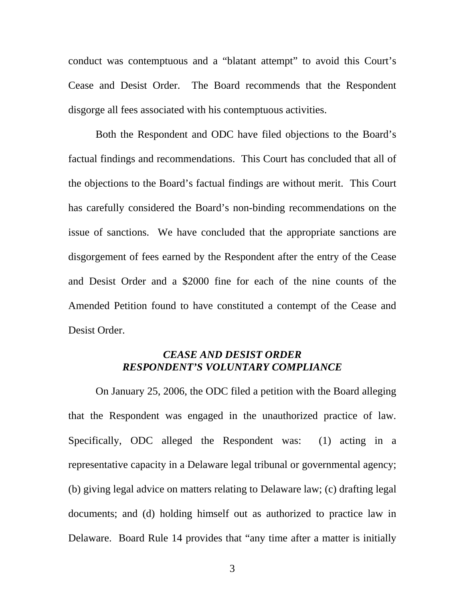conduct was contemptuous and a "blatant attempt" to avoid this Court's Cease and Desist Order. The Board recommends that the Respondent disgorge all fees associated with his contemptuous activities.

 Both the Respondent and ODC have filed objections to the Board's factual findings and recommendations. This Court has concluded that all of the objections to the Board's factual findings are without merit. This Court has carefully considered the Board's non-binding recommendations on the issue of sanctions. We have concluded that the appropriate sanctions are disgorgement of fees earned by the Respondent after the entry of the Cease and Desist Order and a \$2000 fine for each of the nine counts of the Amended Petition found to have constituted a contempt of the Cease and Desist Order.

## *CEASE AND DESIST ORDER RESPONDENT'S VOLUNTARY COMPLIANCE*

 On January 25, 2006, the ODC filed a petition with the Board alleging that the Respondent was engaged in the unauthorized practice of law. Specifically, ODC alleged the Respondent was: (1) acting in a representative capacity in a Delaware legal tribunal or governmental agency; (b) giving legal advice on matters relating to Delaware law; (c) drafting legal documents; and (d) holding himself out as authorized to practice law in Delaware. Board Rule 14 provides that "any time after a matter is initially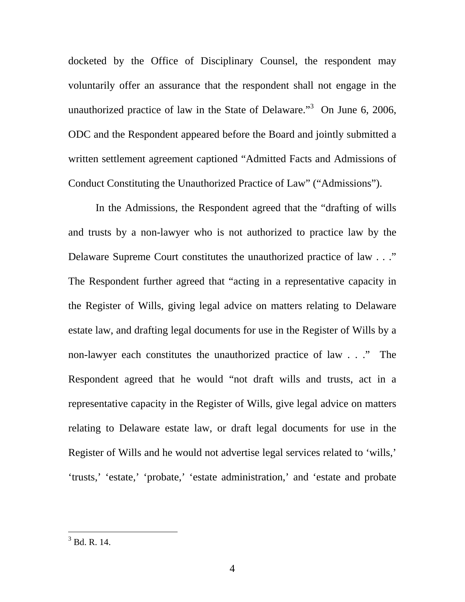docketed by the Office of Disciplinary Counsel, the respondent may voluntarily offer an assurance that the respondent shall not engage in the unauthorized practice of law in the State of Delaware."<sup>3</sup> On June 6, 2006, ODC and the Respondent appeared before the Board and jointly submitted a written settlement agreement captioned "Admitted Facts and Admissions of Conduct Constituting the Unauthorized Practice of Law" ("Admissions").

In the Admissions, the Respondent agreed that the "drafting of wills and trusts by a non-lawyer who is not authorized to practice law by the Delaware Supreme Court constitutes the unauthorized practice of law . . ." The Respondent further agreed that "acting in a representative capacity in the Register of Wills, giving legal advice on matters relating to Delaware estate law, and drafting legal documents for use in the Register of Wills by a non-lawyer each constitutes the unauthorized practice of law . . ." The Respondent agreed that he would "not draft wills and trusts, act in a representative capacity in the Register of Wills, give legal advice on matters relating to Delaware estate law, or draft legal documents for use in the Register of Wills and he would not advertise legal services related to 'wills,' 'trusts,' 'estate,' 'probate,' 'estate administration,' and 'estate and probate

 $\frac{1}{3}$  Bd. R. 14.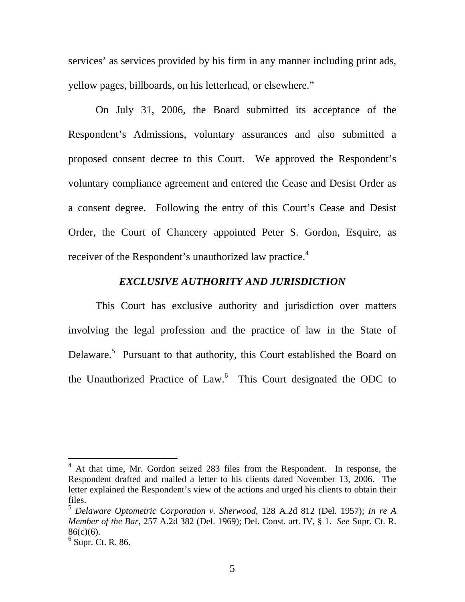services' as services provided by his firm in any manner including print ads, yellow pages, billboards, on his letterhead, or elsewhere."

 On July 31, 2006, the Board submitted its acceptance of the Respondent's Admissions, voluntary assurances and also submitted a proposed consent decree to this Court. We approved the Respondent's voluntary compliance agreement and entered the Cease and Desist Order as a consent degree. Following the entry of this Court's Cease and Desist Order, the Court of Chancery appointed Peter S. Gordon, Esquire, as receiver of the Respondent's unauthorized law practice.<sup>4</sup>

#### *EXCLUSIVE AUTHORITY AND JURISDICTION*

 This Court has exclusive authority and jurisdiction over matters involving the legal profession and the practice of law in the State of Delaware.<sup>5</sup> Pursuant to that authority, this Court established the Board on the Unauthorized Practice of Law.<sup>6</sup> This Court designated the ODC to

 $\overline{a}$ 

<sup>&</sup>lt;sup>4</sup> At that time, Mr. Gordon seized 283 files from the Respondent. In response, the Respondent drafted and mailed a letter to his clients dated November 13, 2006. The letter explained the Respondent's view of the actions and urged his clients to obtain their files.

<sup>5</sup> *Delaware Optometric Corporation v. Sherwood*, 128 A.2d 812 (Del. 1957); *In re A Member of the Bar*, 257 A.2d 382 (Del. 1969); Del. Const. art. IV, § 1. *See* Supr. Ct. R. 86(c)(6).

 $<sup>6</sup>$  Supr. Ct. R. 86.</sup>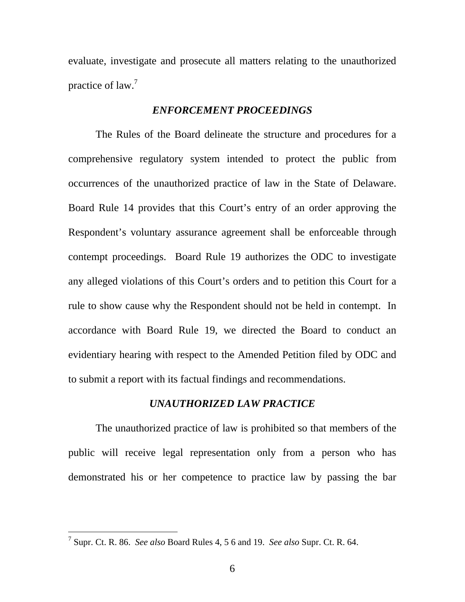evaluate, investigate and prosecute all matters relating to the unauthorized practice of law.<sup>7</sup>

#### *ENFORCEMENT PROCEEDINGS*

 The Rules of the Board delineate the structure and procedures for a comprehensive regulatory system intended to protect the public from occurrences of the unauthorized practice of law in the State of Delaware. Board Rule 14 provides that this Court's entry of an order approving the Respondent's voluntary assurance agreement shall be enforceable through contempt proceedings. Board Rule 19 authorizes the ODC to investigate any alleged violations of this Court's orders and to petition this Court for a rule to show cause why the Respondent should not be held in contempt. In accordance with Board Rule 19, we directed the Board to conduct an evidentiary hearing with respect to the Amended Petition filed by ODC and to submit a report with its factual findings and recommendations.

#### *UNAUTHORIZED LAW PRACTICE*

 The unauthorized practice of law is prohibited so that members of the public will receive legal representation only from a person who has demonstrated his or her competence to practice law by passing the bar

 7 Supr. Ct. R. 86. *See also* Board Rules 4, 5 6 and 19. *See also* Supr. Ct. R. 64.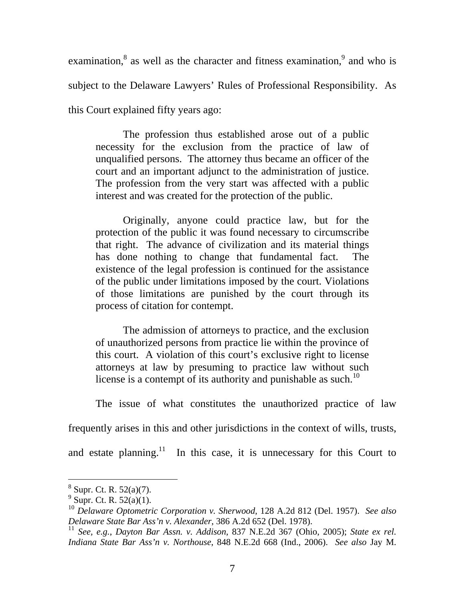examination, $\delta$  as well as the character and fitness examination, $\delta$  and who is subject to the Delaware Lawyers' Rules of Professional Responsibility. As this Court explained fifty years ago:

 The profession thus established arose out of a public necessity for the exclusion from the practice of law of unqualified persons. The attorney thus became an officer of the court and an important adjunct to the administration of justice. The profession from the very start was affected with a public interest and was created for the protection of the public.

 Originally, anyone could practice law, but for the protection of the public it was found necessary to circumscribe that right. The advance of civilization and its material things has done nothing to change that fundamental fact. The existence of the legal profession is continued for the assistance of the public under limitations imposed by the court. Violations of those limitations are punished by the court through its process of citation for contempt.

 The admission of attorneys to practice, and the exclusion of unauthorized persons from practice lie within the province of this court. A violation of this court's exclusive right to license attorneys at law by presuming to practice law without such license is a contempt of its authority and punishable as such.<sup>10</sup>

The issue of what constitutes the unauthorized practice of law

frequently arises in this and other jurisdictions in the context of wills, trusts,

and estate planning.<sup>11</sup> In this case, it is unnecessary for this Court to

-

 $8$  Supr. Ct. R. 52(a)(7).

 $^{9}$  Supr. Ct. R. 52(a)(1).

<sup>10</sup> *Delaware Optometric Corporation v. Sherwood*, 128 A.2d 812 (Del. 1957). *See also Delaware State Bar Ass'n v. Alexander*, 386 A.2d 652 (Del. 1978).

<sup>11</sup> *See, e.g.*, *Dayton Bar Assn. v. Addison*, 837 N.E.2d 367 (Ohio, 2005); *State ex rel. Indiana State Bar Ass'n v. Northouse*, 848 N.E.2d 668 (Ind., 2006). *See also* Jay M.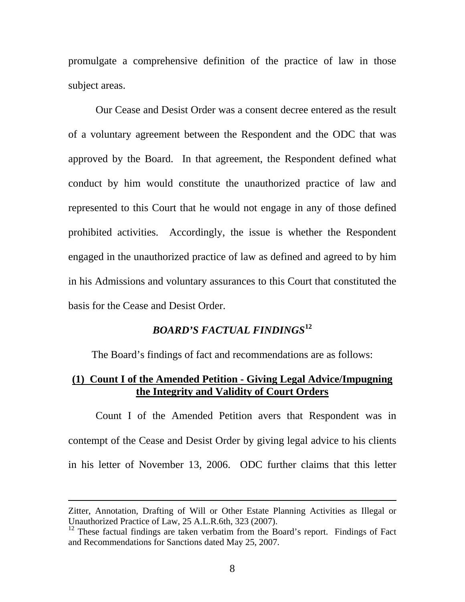promulgate a comprehensive definition of the practice of law in those subject areas.

 Our Cease and Desist Order was a consent decree entered as the result of a voluntary agreement between the Respondent and the ODC that was approved by the Board. In that agreement, the Respondent defined what conduct by him would constitute the unauthorized practice of law and represented to this Court that he would not engage in any of those defined prohibited activities. Accordingly, the issue is whether the Respondent engaged in the unauthorized practice of law as defined and agreed to by him in his Admissions and voluntary assurances to this Court that constituted the basis for the Cease and Desist Order.

# *BOARD'S FACTUAL FINDINGS***<sup>12</sup>**

The Board's findings of fact and recommendations are as follows:

## **(1) Count I of the Amended Petition - Giving Legal Advice/Impugning the Integrity and Validity of Court Orders**

 Count I of the Amended Petition avers that Respondent was in contempt of the Cease and Desist Order by giving legal advice to his clients in his letter of November 13, 2006. ODC further claims that this letter

 $\overline{a}$ 

Zitter, Annotation, Drafting of Will or Other Estate Planning Activities as Illegal or Unauthorized Practice of Law, 25 A.L.R.6th, 323 (2007).

 $12$  These factual findings are taken verbatim from the Board's report. Findings of Fact and Recommendations for Sanctions dated May 25, 2007.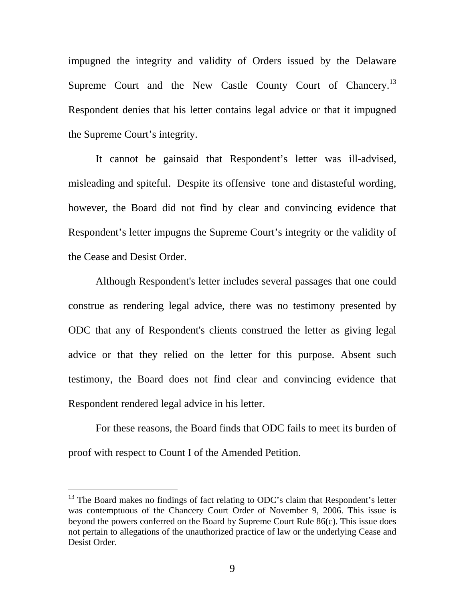impugned the integrity and validity of Orders issued by the Delaware Supreme Court and the New Castle County Court of Chancery.<sup>13</sup> Respondent denies that his letter contains legal advice or that it impugned the Supreme Court's integrity.

 It cannot be gainsaid that Respondent's letter was ill-advised, misleading and spiteful. Despite its offensive tone and distasteful wording, however, the Board did not find by clear and convincing evidence that Respondent's letter impugns the Supreme Court's integrity or the validity of the Cease and Desist Order.

 Although Respondent's letter includes several passages that one could construe as rendering legal advice, there was no testimony presented by ODC that any of Respondent's clients construed the letter as giving legal advice or that they relied on the letter for this purpose. Absent such testimony, the Board does not find clear and convincing evidence that Respondent rendered legal advice in his letter.

 For these reasons, the Board finds that ODC fails to meet its burden of proof with respect to Count I of the Amended Petition.

-

<sup>&</sup>lt;sup>13</sup> The Board makes no findings of fact relating to ODC's claim that Respondent's letter was contemptuous of the Chancery Court Order of November 9, 2006. This issue is beyond the powers conferred on the Board by Supreme Court Rule 86(c). This issue does not pertain to allegations of the unauthorized practice of law or the underlying Cease and Desist Order.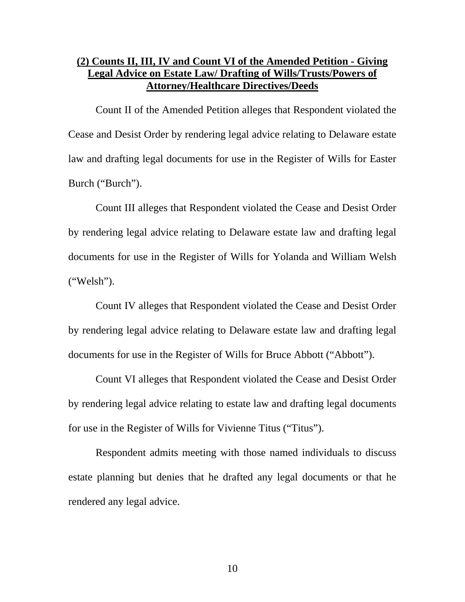# **(2) Counts II, III, IV and Count VI of the Amended Petition - Giving Legal Advice on Estate Law/ Drafting of Wills/Trusts/Powers of Attorney/Healthcare Directives/Deeds**

 Count II of the Amended Petition alleges that Respondent violated the Cease and Desist Order by rendering legal advice relating to Delaware estate law and drafting legal documents for use in the Register of Wills for Easter Burch ("Burch").

 Count III alleges that Respondent violated the Cease and Desist Order by rendering legal advice relating to Delaware estate law and drafting legal documents for use in the Register of Wills for Yolanda and William Welsh ("Welsh").

 Count IV alleges that Respondent violated the Cease and Desist Order by rendering legal advice relating to Delaware estate law and drafting legal documents for use in the Register of Wills for Bruce Abbott ("Abbott").

 Count VI alleges that Respondent violated the Cease and Desist Order by rendering legal advice relating to estate law and drafting legal documents for use in the Register of Wills for Vivienne Titus ("Titus").

 Respondent admits meeting with those named individuals to discuss estate planning but denies that he drafted any legal documents or that he rendered any legal advice.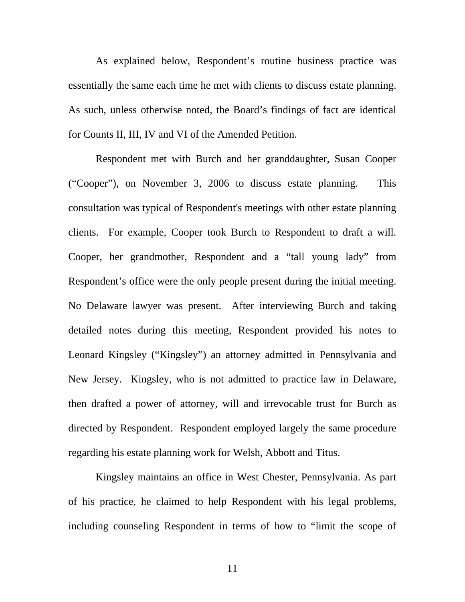As explained below, Respondent's routine business practice was essentially the same each time he met with clients to discuss estate planning. As such, unless otherwise noted, the Board's findings of fact are identical for Counts II, III, IV and VI of the Amended Petition.

 Respondent met with Burch and her granddaughter, Susan Cooper ("Cooper"), on November 3, 2006 to discuss estate planning. This consultation was typical of Respondent's meetings with other estate planning clients. For example, Cooper took Burch to Respondent to draft a will. Cooper, her grandmother, Respondent and a "tall young lady" from Respondent's office were the only people present during the initial meeting. No Delaware lawyer was present. After interviewing Burch and taking detailed notes during this meeting, Respondent provided his notes to Leonard Kingsley ("Kingsley") an attorney admitted in Pennsylvania and New Jersey. Kingsley, who is not admitted to practice law in Delaware, then drafted a power of attorney, will and irrevocable trust for Burch as directed by Respondent. Respondent employed largely the same procedure regarding his estate planning work for Welsh, Abbott and Titus.

 Kingsley maintains an office in West Chester, Pennsylvania. As part of his practice, he claimed to help Respondent with his legal problems, including counseling Respondent in terms of how to "limit the scope of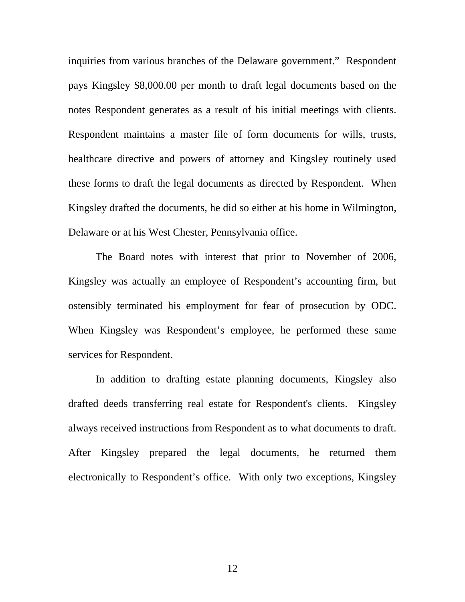inquiries from various branches of the Delaware government." Respondent pays Kingsley \$8,000.00 per month to draft legal documents based on the notes Respondent generates as a result of his initial meetings with clients. Respondent maintains a master file of form documents for wills, trusts, healthcare directive and powers of attorney and Kingsley routinely used these forms to draft the legal documents as directed by Respondent. When Kingsley drafted the documents, he did so either at his home in Wilmington, Delaware or at his West Chester, Pennsylvania office.

 The Board notes with interest that prior to November of 2006, Kingsley was actually an employee of Respondent's accounting firm, but ostensibly terminated his employment for fear of prosecution by ODC. When Kingsley was Respondent's employee, he performed these same services for Respondent.

 In addition to drafting estate planning documents, Kingsley also drafted deeds transferring real estate for Respondent's clients. Kingsley always received instructions from Respondent as to what documents to draft. After Kingsley prepared the legal documents, he returned them electronically to Respondent's office. With only two exceptions, Kingsley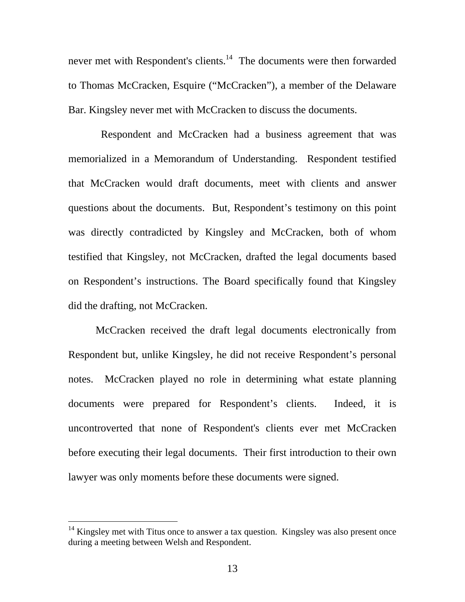never met with Respondent's clients.<sup>14</sup> The documents were then forwarded to Thomas McCracken, Esquire ("McCracken"), a member of the Delaware Bar. Kingsley never met with McCracken to discuss the documents.

 Respondent and McCracken had a business agreement that was memorialized in a Memorandum of Understanding. Respondent testified that McCracken would draft documents, meet with clients and answer questions about the documents. But, Respondent's testimony on this point was directly contradicted by Kingsley and McCracken, both of whom testified that Kingsley, not McCracken, drafted the legal documents based on Respondent's instructions. The Board specifically found that Kingsley did the drafting, not McCracken.

 McCracken received the draft legal documents electronically from Respondent but, unlike Kingsley, he did not receive Respondent's personal notes. McCracken played no role in determining what estate planning documents were prepared for Respondent's clients. Indeed, it is uncontroverted that none of Respondent's clients ever met McCracken before executing their legal documents. Their first introduction to their own lawyer was only moments before these documents were signed.

 $\overline{a}$ 

 $14$  Kingsley met with Titus once to answer a tax question. Kingsley was also present once during a meeting between Welsh and Respondent.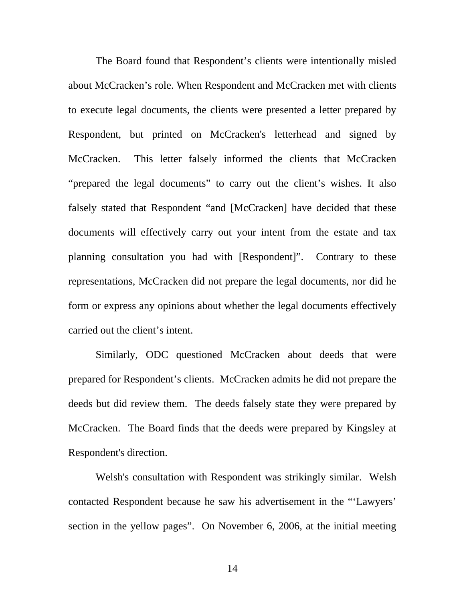The Board found that Respondent's clients were intentionally misled about McCracken's role. When Respondent and McCracken met with clients to execute legal documents, the clients were presented a letter prepared by Respondent, but printed on McCracken's letterhead and signed by McCracken. This letter falsely informed the clients that McCracken "prepared the legal documents" to carry out the client's wishes. It also falsely stated that Respondent "and [McCracken] have decided that these documents will effectively carry out your intent from the estate and tax planning consultation you had with [Respondent]". Contrary to these representations, McCracken did not prepare the legal documents, nor did he form or express any opinions about whether the legal documents effectively carried out the client's intent.

 Similarly, ODC questioned McCracken about deeds that were prepared for Respondent's clients. McCracken admits he did not prepare the deeds but did review them. The deeds falsely state they were prepared by McCracken. The Board finds that the deeds were prepared by Kingsley at Respondent's direction.

 Welsh's consultation with Respondent was strikingly similar. Welsh contacted Respondent because he saw his advertisement in the "'Lawyers' section in the yellow pages". On November 6, 2006, at the initial meeting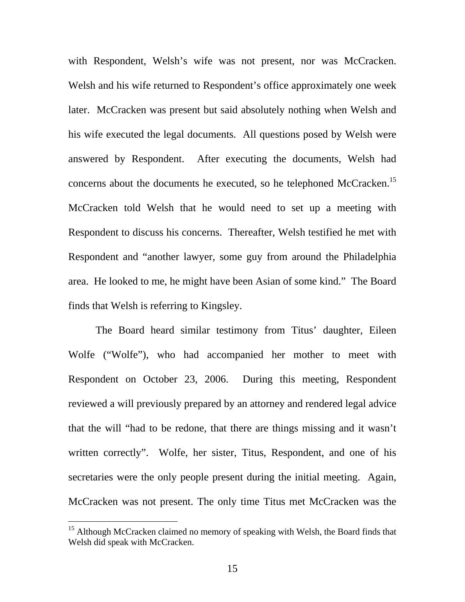with Respondent, Welsh's wife was not present, nor was McCracken. Welsh and his wife returned to Respondent's office approximately one week later. McCracken was present but said absolutely nothing when Welsh and his wife executed the legal documents. All questions posed by Welsh were answered by Respondent. After executing the documents, Welsh had concerns about the documents he executed, so he telephoned McCracken.<sup>15</sup> McCracken told Welsh that he would need to set up a meeting with Respondent to discuss his concerns. Thereafter, Welsh testified he met with Respondent and "another lawyer, some guy from around the Philadelphia area. He looked to me, he might have been Asian of some kind." The Board finds that Welsh is referring to Kingsley.

 The Board heard similar testimony from Titus' daughter, Eileen Wolfe ("Wolfe"), who had accompanied her mother to meet with Respondent on October 23, 2006. During this meeting, Respondent reviewed a will previously prepared by an attorney and rendered legal advice that the will "had to be redone, that there are things missing and it wasn't written correctly". Wolfe, her sister, Titus, Respondent, and one of his secretaries were the only people present during the initial meeting. Again, McCracken was not present. The only time Titus met McCracken was the

l

<sup>&</sup>lt;sup>15</sup> Although McCracken claimed no memory of speaking with Welsh, the Board finds that Welsh did speak with McCracken.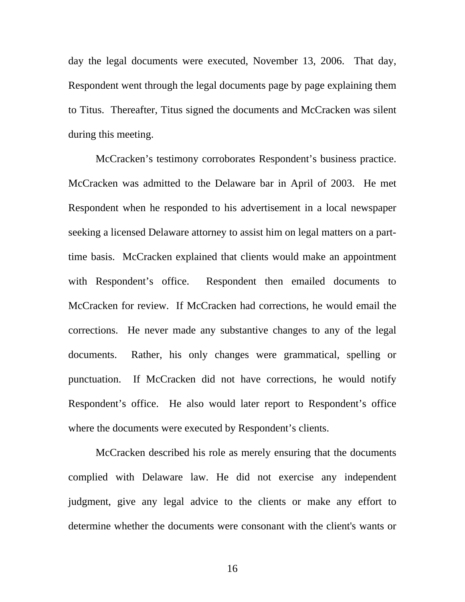day the legal documents were executed, November 13, 2006. That day, Respondent went through the legal documents page by page explaining them to Titus. Thereafter, Titus signed the documents and McCracken was silent during this meeting.

 McCracken's testimony corroborates Respondent's business practice. McCracken was admitted to the Delaware bar in April of 2003. He met Respondent when he responded to his advertisement in a local newspaper seeking a licensed Delaware attorney to assist him on legal matters on a parttime basis. McCracken explained that clients would make an appointment with Respondent's office. Respondent then emailed documents to McCracken for review. If McCracken had corrections, he would email the corrections. He never made any substantive changes to any of the legal documents. Rather, his only changes were grammatical, spelling or punctuation. If McCracken did not have corrections, he would notify Respondent's office. He also would later report to Respondent's office where the documents were executed by Respondent's clients.

 McCracken described his role as merely ensuring that the documents complied with Delaware law. He did not exercise any independent judgment, give any legal advice to the clients or make any effort to determine whether the documents were consonant with the client's wants or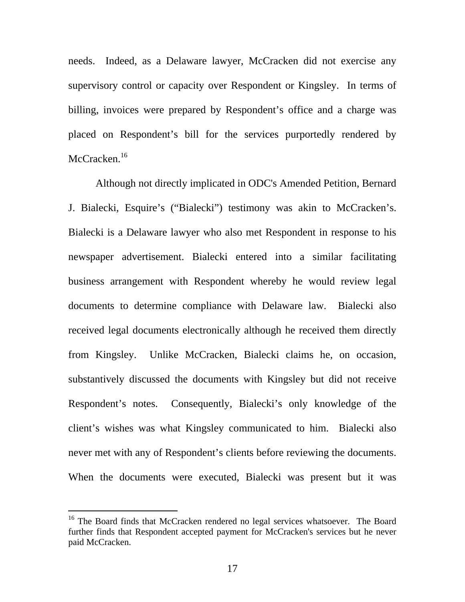needs. Indeed, as a Delaware lawyer, McCracken did not exercise any supervisory control or capacity over Respondent or Kingsley. In terms of billing, invoices were prepared by Respondent's office and a charge was placed on Respondent's bill for the services purportedly rendered by McCracken.<sup>16</sup>

 Although not directly implicated in ODC's Amended Petition, Bernard J. Bialecki, Esquire's ("Bialecki") testimony was akin to McCracken's. Bialecki is a Delaware lawyer who also met Respondent in response to his newspaper advertisement. Bialecki entered into a similar facilitating business arrangement with Respondent whereby he would review legal documents to determine compliance with Delaware law. Bialecki also received legal documents electronically although he received them directly from Kingsley. Unlike McCracken, Bialecki claims he, on occasion, substantively discussed the documents with Kingsley but did not receive Respondent's notes. Consequently, Bialecki's only knowledge of the client's wishes was what Kingsley communicated to him. Bialecki also never met with any of Respondent's clients before reviewing the documents. When the documents were executed, Bialecki was present but it was

 $\overline{a}$ 

<sup>&</sup>lt;sup>16</sup> The Board finds that McCracken rendered no legal services whatsoever. The Board further finds that Respondent accepted payment for McCracken's services but he never paid McCracken.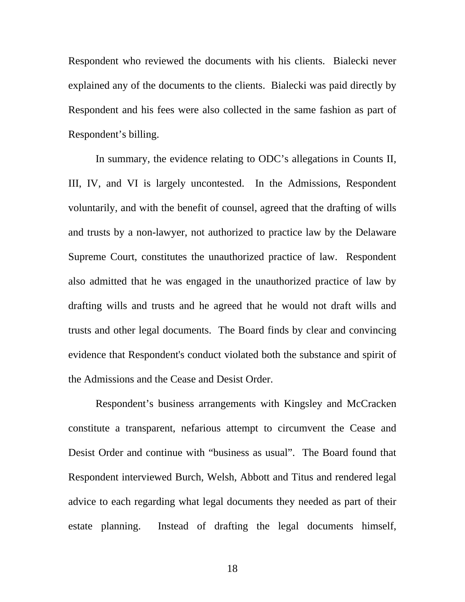Respondent who reviewed the documents with his clients. Bialecki never explained any of the documents to the clients. Bialecki was paid directly by Respondent and his fees were also collected in the same fashion as part of Respondent's billing.

 In summary, the evidence relating to ODC's allegations in Counts II, III, IV, and VI is largely uncontested. In the Admissions, Respondent voluntarily, and with the benefit of counsel, agreed that the drafting of wills and trusts by a non-lawyer, not authorized to practice law by the Delaware Supreme Court, constitutes the unauthorized practice of law. Respondent also admitted that he was engaged in the unauthorized practice of law by drafting wills and trusts and he agreed that he would not draft wills and trusts and other legal documents. The Board finds by clear and convincing evidence that Respondent's conduct violated both the substance and spirit of the Admissions and the Cease and Desist Order.

 Respondent's business arrangements with Kingsley and McCracken constitute a transparent, nefarious attempt to circumvent the Cease and Desist Order and continue with "business as usual". The Board found that Respondent interviewed Burch, Welsh, Abbott and Titus and rendered legal advice to each regarding what legal documents they needed as part of their estate planning. Instead of drafting the legal documents himself,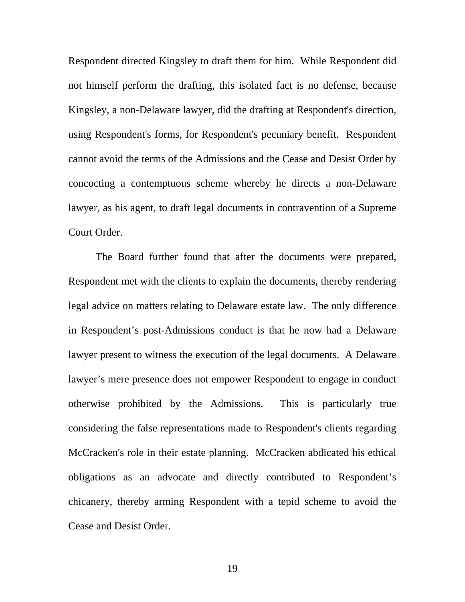Respondent directed Kingsley to draft them for him. While Respondent did not himself perform the drafting, this isolated fact is no defense, because Kingsley, a non-Delaware lawyer, did the drafting at Respondent's direction, using Respondent's forms, for Respondent's pecuniary benefit. Respondent cannot avoid the terms of the Admissions and the Cease and Desist Order by concocting a contemptuous scheme whereby he directs a non-Delaware lawyer, as his agent, to draft legal documents in contravention of a Supreme Court Order.

 The Board further found that after the documents were prepared, Respondent met with the clients to explain the documents, thereby rendering legal advice on matters relating to Delaware estate law. The only difference in Respondent's post-Admissions conduct is that he now had a Delaware lawyer present to witness the execution of the legal documents. A Delaware lawyer's mere presence does not empower Respondent to engage in conduct otherwise prohibited by the Admissions. This is particularly true considering the false representations made to Respondent's clients regarding McCracken's role in their estate planning. McCracken abdicated his ethical obligations as an advocate and directly contributed to Respondent's chicanery, thereby arming Respondent with a tepid scheme to avoid the Cease and Desist Order.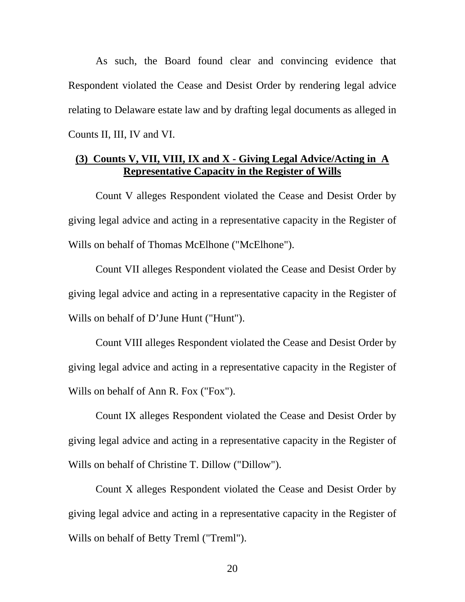As such, the Board found clear and convincing evidence that Respondent violated the Cease and Desist Order by rendering legal advice relating to Delaware estate law and by drafting legal documents as alleged in Counts II, III, IV and VI.

## **(3) Counts V, VII, VIII, IX and X - Giving Legal Advice/Acting in A Representative Capacity in the Register of Wills**

 Count V alleges Respondent violated the Cease and Desist Order by giving legal advice and acting in a representative capacity in the Register of Wills on behalf of Thomas McElhone ("McElhone").

 Count VII alleges Respondent violated the Cease and Desist Order by giving legal advice and acting in a representative capacity in the Register of Wills on behalf of D'June Hunt ("Hunt").

 Count VIII alleges Respondent violated the Cease and Desist Order by giving legal advice and acting in a representative capacity in the Register of Wills on behalf of Ann R. Fox ("Fox").

 Count IX alleges Respondent violated the Cease and Desist Order by giving legal advice and acting in a representative capacity in the Register of Wills on behalf of Christine T. Dillow ("Dillow").

 Count X alleges Respondent violated the Cease and Desist Order by giving legal advice and acting in a representative capacity in the Register of Wills on behalf of Betty Treml ("Treml").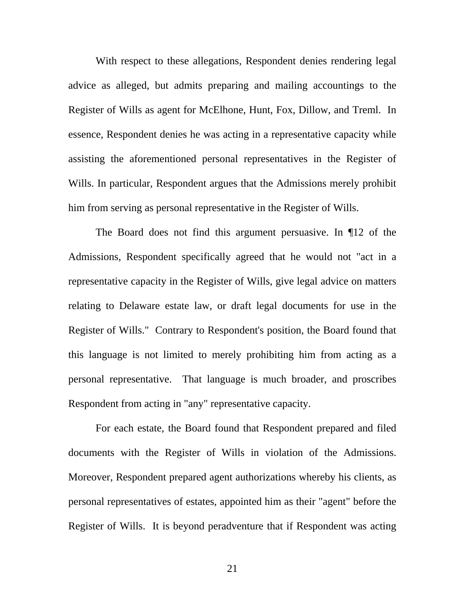With respect to these allegations, Respondent denies rendering legal advice as alleged, but admits preparing and mailing accountings to the Register of Wills as agent for McElhone, Hunt, Fox, Dillow, and Treml. In essence, Respondent denies he was acting in a representative capacity while assisting the aforementioned personal representatives in the Register of Wills. In particular, Respondent argues that the Admissions merely prohibit him from serving as personal representative in the Register of Wills.

 The Board does not find this argument persuasive. In ¶12 of the Admissions, Respondent specifically agreed that he would not "act in a representative capacity in the Register of Wills, give legal advice on matters relating to Delaware estate law, or draft legal documents for use in the Register of Wills." Contrary to Respondent's position, the Board found that this language is not limited to merely prohibiting him from acting as a personal representative. That language is much broader, and proscribes Respondent from acting in "any" representative capacity.

 For each estate, the Board found that Respondent prepared and filed documents with the Register of Wills in violation of the Admissions. Moreover, Respondent prepared agent authorizations whereby his clients, as personal representatives of estates, appointed him as their "agent" before the Register of Wills. It is beyond peradventure that if Respondent was acting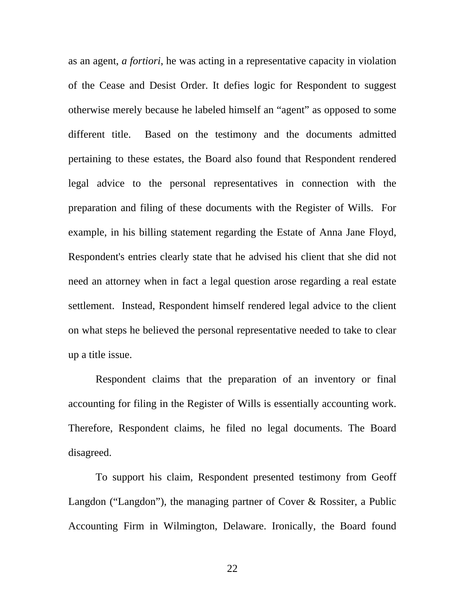as an agent, *a fortiori*, he was acting in a representative capacity in violation of the Cease and Desist Order. It defies logic for Respondent to suggest otherwise merely because he labeled himself an "agent" as opposed to some different title. Based on the testimony and the documents admitted pertaining to these estates, the Board also found that Respondent rendered legal advice to the personal representatives in connection with the preparation and filing of these documents with the Register of Wills. For example, in his billing statement regarding the Estate of Anna Jane Floyd, Respondent's entries clearly state that he advised his client that she did not need an attorney when in fact a legal question arose regarding a real estate settlement. Instead, Respondent himself rendered legal advice to the client on what steps he believed the personal representative needed to take to clear up a title issue.

 Respondent claims that the preparation of an inventory or final accounting for filing in the Register of Wills is essentially accounting work. Therefore, Respondent claims, he filed no legal documents. The Board disagreed.

 To support his claim, Respondent presented testimony from Geoff Langdon ("Langdon"), the managing partner of Cover & Rossiter, a Public Accounting Firm in Wilmington, Delaware. Ironically, the Board found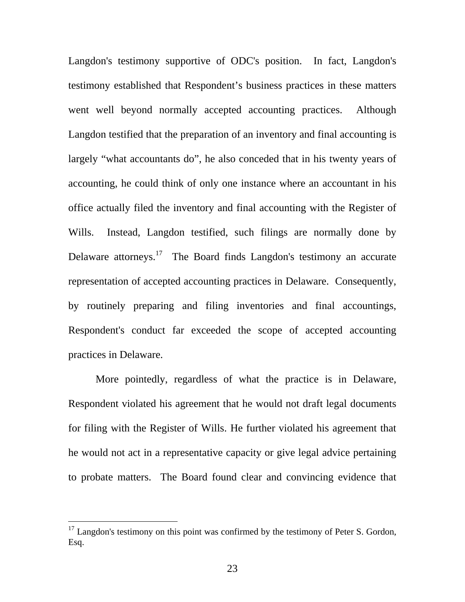Langdon's testimony supportive of ODC's position. In fact, Langdon's testimony established that Respondent's business practices in these matters went well beyond normally accepted accounting practices. Although Langdon testified that the preparation of an inventory and final accounting is largely "what accountants do", he also conceded that in his twenty years of accounting, he could think of only one instance where an accountant in his office actually filed the inventory and final accounting with the Register of Wills. Instead, Langdon testified, such filings are normally done by Delaware attorneys.<sup>17</sup> The Board finds Langdon's testimony an accurate representation of accepted accounting practices in Delaware. Consequently, by routinely preparing and filing inventories and final accountings, Respondent's conduct far exceeded the scope of accepted accounting practices in Delaware.

 More pointedly, regardless of what the practice is in Delaware, Respondent violated his agreement that he would not draft legal documents for filing with the Register of Wills. He further violated his agreement that he would not act in a representative capacity or give legal advice pertaining to probate matters. The Board found clear and convincing evidence that

 $\overline{a}$ 

 $17$  Langdon's testimony on this point was confirmed by the testimony of Peter S. Gordon, Esq.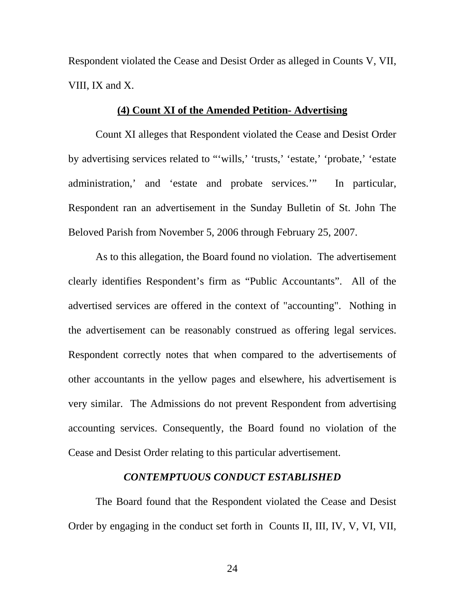Respondent violated the Cease and Desist Order as alleged in Counts V, VII, VIII, IX and X.

### **(4) Count XI of the Amended Petition- Advertising**

 Count XI alleges that Respondent violated the Cease and Desist Order by advertising services related to "'wills,' 'trusts,' 'estate,' 'probate,' 'estate administration,' and 'estate and probate services.'" In particular, Respondent ran an advertisement in the Sunday Bulletin of St. John The Beloved Parish from November 5, 2006 through February 25, 2007.

 As to this allegation, the Board found no violation. The advertisement clearly identifies Respondent's firm as "Public Accountants". All of the advertised services are offered in the context of "accounting". Nothing in the advertisement can be reasonably construed as offering legal services. Respondent correctly notes that when compared to the advertisements of other accountants in the yellow pages and elsewhere, his advertisement is very similar. The Admissions do not prevent Respondent from advertising accounting services. Consequently, the Board found no violation of the Cease and Desist Order relating to this particular advertisement.

## *CONTEMPTUOUS CONDUCT ESTABLISHED*

 The Board found that the Respondent violated the Cease and Desist Order by engaging in the conduct set forth in Counts II, III, IV, V, VI, VII,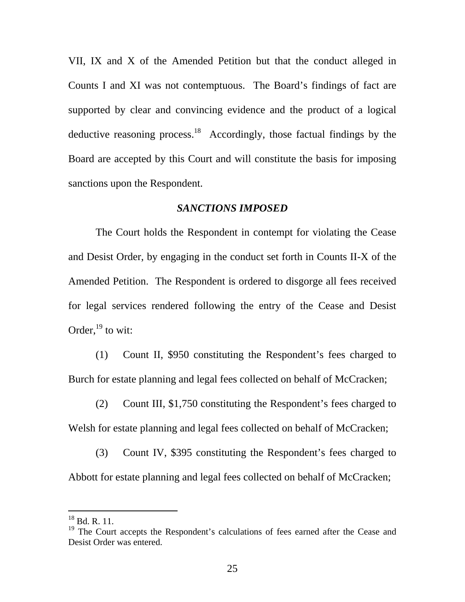VII, IX and X of the Amended Petition but that the conduct alleged in Counts I and XI was not contemptuous. The Board's findings of fact are supported by clear and convincing evidence and the product of a logical deductive reasoning process. $18$  Accordingly, those factual findings by the Board are accepted by this Court and will constitute the basis for imposing sanctions upon the Respondent.

#### *SANCTIONS IMPOSED*

 The Court holds the Respondent in contempt for violating the Cease and Desist Order, by engaging in the conduct set forth in Counts II-X of the Amended Petition. The Respondent is ordered to disgorge all fees received for legal services rendered following the entry of the Cease and Desist Order, $^{19}$  to wit:

(1) Count II, \$950 constituting the Respondent's fees charged to Burch for estate planning and legal fees collected on behalf of McCracken;

(2) Count III, \$1,750 constituting the Respondent's fees charged to Welsh for estate planning and legal fees collected on behalf of McCracken;

 (3) Count IV, \$395 constituting the Respondent's fees charged to Abbott for estate planning and legal fees collected on behalf of McCracken;

-

 $18$  Bd. R. 11.

<sup>&</sup>lt;sup>19</sup> The Court accepts the Respondent's calculations of fees earned after the Cease and Desist Order was entered.